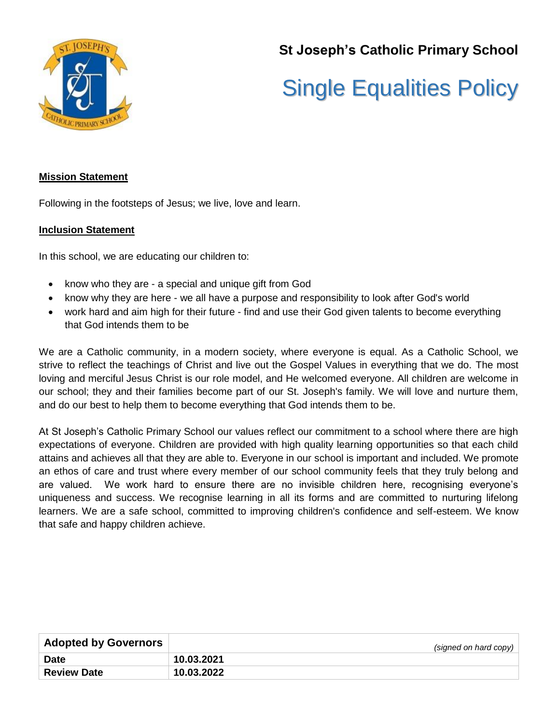

**St Joseph's Catholic Primary School**

# Single Equalities Policy

### **Mission Statement**

Following in the footsteps of Jesus; we live, love and learn.

#### **Inclusion Statement**

In this school, we are educating our children to:

- know who they are a special and unique gift from God
- know why they are here we all have a purpose and responsibility to look after God's world
- work hard and aim high for their future find and use their God given talents to become everything that God intends them to be

We are a Catholic community, in a modern society, where everyone is equal. As a Catholic School, we strive to reflect the teachings of Christ and live out the Gospel Values in everything that we do. The most loving and merciful Jesus Christ is our role model, and He welcomed everyone. All children are welcome in our school; they and their families become part of our St. Joseph's family. We will love and nurture them, and do our best to help them to become everything that God intends them to be.

At St Joseph's Catholic Primary School our values reflect our commitment to a school where there are high expectations of everyone. Children are provided with high quality learning opportunities so that each child attains and achieves all that they are able to. Everyone in our school is important and included. We promote an ethos of care and trust where every member of our school community feels that they truly belong and are valued. We work hard to ensure there are no invisible children here, recognising everyone's uniqueness and success. We recognise learning in all its forms and are committed to nurturing lifelong learners. We are a safe school, committed to improving children's confidence and self-esteem. We know that safe and happy children achieve.

| <b>Adopted by Governors</b> | (signed on hard copy) |
|-----------------------------|-----------------------|
| <b>Date</b>                 | 10.03.2021            |
| <b>Review Date</b>          | 10.03.2022            |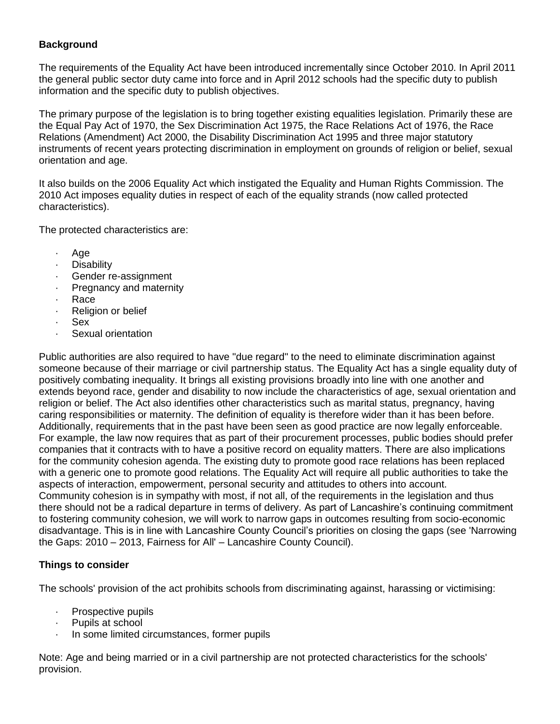# **Background**

The requirements of the Equality Act have been introduced incrementally since October 2010. In April 2011 the general public sector duty came into force and in April 2012 schools had the specific duty to publish information and the specific duty to publish objectives.

The primary purpose of the legislation is to bring together existing equalities legislation. Primarily these are the Equal Pay Act of 1970, the Sex Discrimination Act 1975, the Race Relations Act of 1976, the Race Relations (Amendment) Act 2000, the Disability Discrimination Act 1995 and three major statutory instruments of recent years protecting discrimination in employment on grounds of religion or belief, sexual orientation and age.

It also builds on the 2006 Equality Act which instigated the Equality and Human Rights Commission. The 2010 Act imposes equality duties in respect of each of the equality strands (now called protected characteristics).

The protected characteristics are:

- · Age
- · Disability
- · Gender re-assignment
- Pregnancy and maternity
- · Race
- · Religion or belief
- · Sex
- Sexual orientation

Public authorities are also required to have "due regard" to the need to eliminate discrimination against someone because of their marriage or civil partnership status. The Equality Act has a single equality duty of positively combating inequality. It brings all existing provisions broadly into line with one another and extends beyond race, gender and disability to now include the characteristics of age, sexual orientation and religion or belief. The Act also identifies other characteristics such as marital status, pregnancy, having caring responsibilities or maternity. The definition of equality is therefore wider than it has been before. Additionally, requirements that in the past have been seen as good practice are now legally enforceable. For example, the law now requires that as part of their procurement processes, public bodies should prefer companies that it contracts with to have a positive record on equality matters. There are also implications for the community cohesion agenda. The existing duty to promote good race relations has been replaced with a generic one to promote good relations. The Equality Act will require all public authorities to take the aspects of interaction, empowerment, personal security and attitudes to others into account. Community cohesion is in sympathy with most, if not all, of the requirements in the legislation and thus there should not be a radical departure in terms of delivery. As part of Lancashire's continuing commitment to fostering community cohesion, we will work to narrow gaps in outcomes resulting from socio-economic disadvantage. This is in line with Lancashire County Council's priorities on closing the gaps (see 'Narrowing the Gaps: 2010 – 2013, Fairness for All' – Lancashire County Council).

# **Things to consider**

The schools' provision of the act prohibits schools from discriminating against, harassing or victimising:

- · Prospective pupils
- · Pupils at school
- In some limited circumstances, former pupils

Note: Age and being married or in a civil partnership are not protected characteristics for the schools' provision.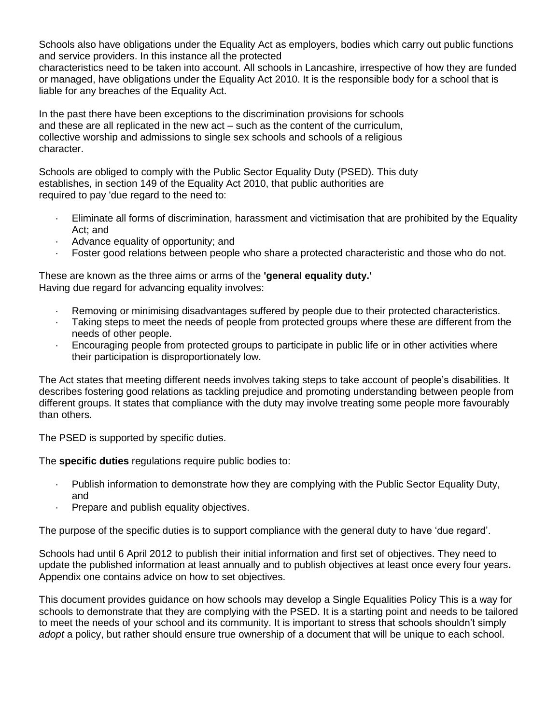Schools also have obligations under the Equality Act as employers, bodies which carry out public functions and service providers. In this instance all the protected

characteristics need to be taken into account. All schools in Lancashire, irrespective of how they are funded or managed, have obligations under the Equality Act 2010. It is the responsible body for a school that is liable for any breaches of the Equality Act.

In the past there have been exceptions to the discrimination provisions for schools and these are all replicated in the new act – such as the content of the curriculum, collective worship and admissions to single sex schools and schools of a religious character.

Schools are obliged to comply with the Public Sector Equality Duty (PSED). This duty establishes, in section 149 of the Equality Act 2010, that public authorities are required to pay 'due regard to the need to:

- · Eliminate all forms of discrimination, harassment and victimisation that are prohibited by the Equality Act; and
- Advance equality of opportunity; and
- · Foster good relations between people who share a protected characteristic and those who do not.

These are known as the three aims or arms of the **'general equality duty.'** Having due regard for advancing equality involves:

- · Removing or minimising disadvantages suffered by people due to their protected characteristics.
- · Taking steps to meet the needs of people from protected groups where these are different from the needs of other people.
- · Encouraging people from protected groups to participate in public life or in other activities where their participation is disproportionately low.

The Act states that meeting different needs involves taking steps to take account of people's disabilities. It describes fostering good relations as tackling prejudice and promoting understanding between people from different groups. It states that compliance with the duty may involve treating some people more favourably than others.

The PSED is supported by specific duties.

The **specific duties** regulations require public bodies to:

- · Publish information to demonstrate how they are complying with the Public Sector Equality Duty, and
- · Prepare and publish equality objectives.

The purpose of the specific duties is to support compliance with the general duty to have 'due regard'.

Schools had until 6 April 2012 to publish their initial information and first set of objectives. They need to update the published information at least annually and to publish objectives at least once every four years**.**  Appendix one contains advice on how to set objectives.

This document provides guidance on how schools may develop a Single Equalities Policy This is a way for schools to demonstrate that they are complying with the PSED. It is a starting point and needs to be tailored to meet the needs of your school and its community. It is important to stress that schools shouldn't simply *adopt* a policy, but rather should ensure true ownership of a document that will be unique to each school.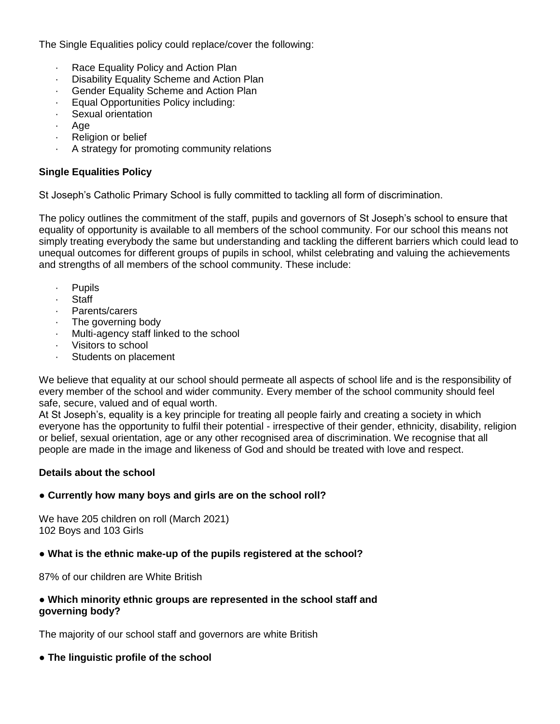The Single Equalities policy could replace/cover the following:

- · Race Equality Policy and Action Plan
- · Disability Equality Scheme and Action Plan
- Gender Equality Scheme and Action Plan
- · Equal Opportunities Policy including:
- Sexual orientation
- Age
- · Religion or belief
- · A strategy for promoting community relations

## **Single Equalities Policy**

St Joseph's Catholic Primary School is fully committed to tackling all form of discrimination.

The policy outlines the commitment of the staff, pupils and governors of St Joseph's school to ensure that equality of opportunity is available to all members of the school community. For our school this means not simply treating everybody the same but understanding and tackling the different barriers which could lead to unequal outcomes for different groups of pupils in school, whilst celebrating and valuing the achievements and strengths of all members of the school community. These include:

- **Pupils**
- **Staff**
- · Parents/carers
- · The governing body
- · Multi-agency staff linked to the school
- · Visitors to school
- Students on placement

We believe that equality at our school should permeate all aspects of school life and is the responsibility of every member of the school and wider community. Every member of the school community should feel safe, secure, valued and of equal worth.

At St Joseph's, equality is a key principle for treating all people fairly and creating a society in which everyone has the opportunity to fulfil their potential - irrespective of their gender, ethnicity, disability, religion or belief, sexual orientation, age or any other recognised area of discrimination. We recognise that all people are made in the image and likeness of God and should be treated with love and respect.

# **Details about the school**

#### **● Currently how many boys and girls are on the school roll?**

We have 205 children on roll (March 2021) 102 Boys and 103 Girls

#### **● What is the ethnic make-up of the pupils registered at the school?**

87% of our children are White British

## ● **Which minority ethnic groups are represented in the school staff and governing body?**

The majority of our school staff and governors are white British

# ● **The linguistic profile of the school**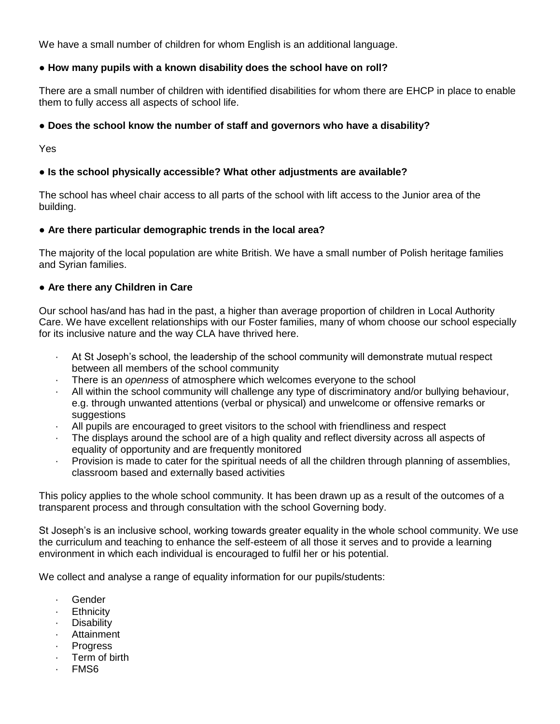We have a small number of children for whom English is an additional language.

## **● How many pupils with a known disability does the school have on roll?**

There are a small number of children with identified disabilities for whom there are EHCP in place to enable them to fully access all aspects of school life.

## ● **Does the school know the number of staff and governors who have a disability?**

Yes

## **● Is the school physically accessible? What other adjustments are available?**

The school has wheel chair access to all parts of the school with lift access to the Junior area of the building.

#### **● Are there particular demographic trends in the local area?**

The majority of the local population are white British. We have a small number of Polish heritage families and Syrian families.

#### **● Are there any Children in Care**

Our school has/and has had in the past, a higher than average proportion of children in Local Authority Care. We have excellent relationships with our Foster families, many of whom choose our school especially for its inclusive nature and the way CLA have thrived here.

- · At St Joseph's school, the leadership of the school community will demonstrate mutual respect between all members of the school community
- · There is an *openness* of atmosphere which welcomes everyone to the school
- All within the school community will challenge any type of discriminatory and/or bullying behaviour, e.g. through unwanted attentions (verbal or physical) and unwelcome or offensive remarks or suggestions
- · All pupils are encouraged to greet visitors to the school with friendliness and respect
- The displays around the school are of a high quality and reflect diversity across all aspects of equality of opportunity and are frequently monitored
- Provision is made to cater for the spiritual needs of all the children through planning of assemblies, classroom based and externally based activities

This policy applies to the whole school community. It has been drawn up as a result of the outcomes of a transparent process and through consultation with the school Governing body.

St Joseph's is an inclusive school, working towards greater equality in the whole school community. We use the curriculum and teaching to enhance the self-esteem of all those it serves and to provide a learning environment in which each individual is encouraged to fulfil her or his potential.

We collect and analyse a range of equality information for our pupils/students:

- Gender
- · Ethnicity
- · Disability
- · Attainment
- · Progress
- Term of birth
- · FMS6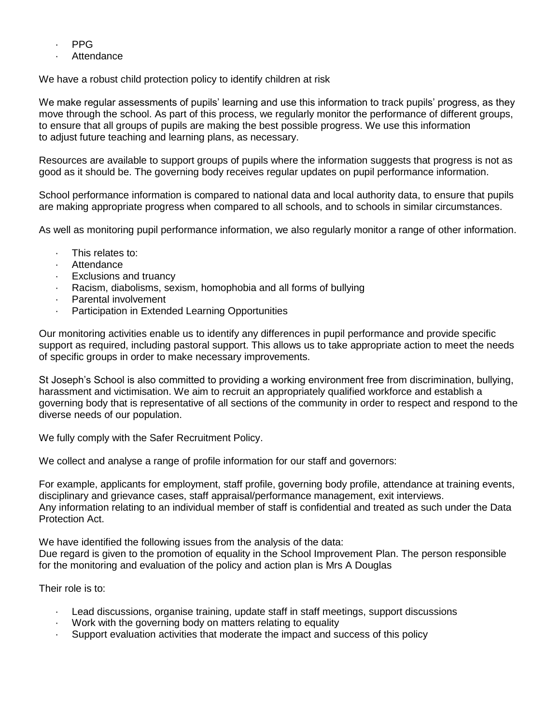- · PPG
- **Attendance**

We have a robust child protection policy to identify children at risk

We make regular assessments of pupils' learning and use this information to track pupils' progress, as they move through the school. As part of this process, we regularly monitor the performance of different groups, to ensure that all groups of pupils are making the best possible progress. We use this information to adjust future teaching and learning plans, as necessary.

Resources are available to support groups of pupils where the information suggests that progress is not as good as it should be. The governing body receives regular updates on pupil performance information.

School performance information is compared to national data and local authority data, to ensure that pupils are making appropriate progress when compared to all schools, and to schools in similar circumstances.

As well as monitoring pupil performance information, we also regularly monitor a range of other information.

- · This relates to:
- Attendance
- Exclusions and truancy
- Racism, diabolisms, sexism, homophobia and all forms of bullying
- Parental involvement
- · Participation in Extended Learning Opportunities

Our monitoring activities enable us to identify any differences in pupil performance and provide specific support as required, including pastoral support. This allows us to take appropriate action to meet the needs of specific groups in order to make necessary improvements.

St Joseph's School is also committed to providing a working environment free from discrimination, bullying, harassment and victimisation. We aim to recruit an appropriately qualified workforce and establish a governing body that is representative of all sections of the community in order to respect and respond to the diverse needs of our population.

We fully comply with the Safer Recruitment Policy.

We collect and analyse a range of profile information for our staff and governors:

For example, applicants for employment, staff profile, governing body profile, attendance at training events, disciplinary and grievance cases, staff appraisal/performance management, exit interviews. Any information relating to an individual member of staff is confidential and treated as such under the Data Protection Act.

We have identified the following issues from the analysis of the data: Due regard is given to the promotion of equality in the School Improvement Plan. The person responsible for the monitoring and evaluation of the policy and action plan is Mrs A Douglas

Their role is to:

- · Lead discussions, organise training, update staff in staff meetings, support discussions
- · Work with the governing body on matters relating to equality
- · Support evaluation activities that moderate the impact and success of this policy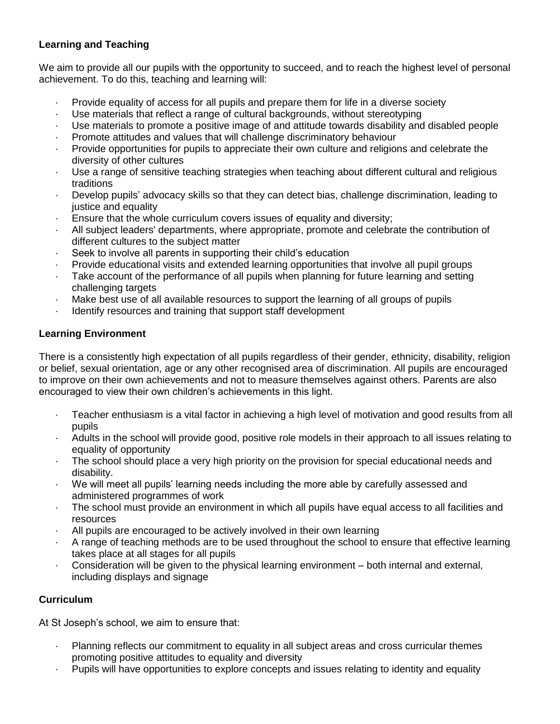# **Learning and Teaching**

We aim to provide all our pupils with the opportunity to succeed, and to reach the highest level of personal achievement. To do this, teaching and learning will:

- · Provide equality of access for all pupils and prepare them for life in a diverse society
- Use materials that reflect a range of cultural backgrounds, without stereotyping
- Use materials to promote a positive image of and attitude towards disability and disabled people
- · Promote attitudes and values that will challenge discriminatory behaviour
- · Provide opportunities for pupils to appreciate their own culture and religions and celebrate the diversity of other cultures
- · Use a range of sensitive teaching strategies when teaching about different cultural and religious traditions
- · Develop pupils' advocacy skills so that they can detect bias, challenge discrimination, leading to justice and equality
- · Ensure that the whole curriculum covers issues of equality and diversity;
- · All subject leaders' departments, where appropriate, promote and celebrate the contribution of different cultures to the subject matter
- · Seek to involve all parents in supporting their child's education
- · Provide educational visits and extended learning opportunities that involve all pupil groups
- Take account of the performance of all pupils when planning for future learning and setting challenging targets
- Make best use of all available resources to support the learning of all groups of pupils
- · Identify resources and training that support staff development

# **Learning Environment**

There is a consistently high expectation of all pupils regardless of their gender, ethnicity, disability, religion or belief, sexual orientation, age or any other recognised area of discrimination. All pupils are encouraged to improve on their own achievements and not to measure themselves against others. Parents are also encouraged to view their own children's achievements in this light.

- · Teacher enthusiasm is a vital factor in achieving a high level of motivation and good results from all pupils
- · Adults in the school will provide good, positive role models in their approach to all issues relating to equality of opportunity
- · The school should place a very high priority on the provision for special educational needs and disability.
- · We will meet all pupils' learning needs including the more able by carefully assessed and administered programmes of work
- · The school must provide an environment in which all pupils have equal access to all facilities and resources
- All pupils are encouraged to be actively involved in their own learning
- · A range of teaching methods are to be used throughout the school to ensure that effective learning takes place at all stages for all pupils
- · Consideration will be given to the physical learning environment both internal and external, including displays and signage

# **Curriculum**

At St Joseph's school, we aim to ensure that:

- · Planning reflects our commitment to equality in all subject areas and cross curricular themes promoting positive attitudes to equality and diversity
- · Pupils will have opportunities to explore concepts and issues relating to identity and equality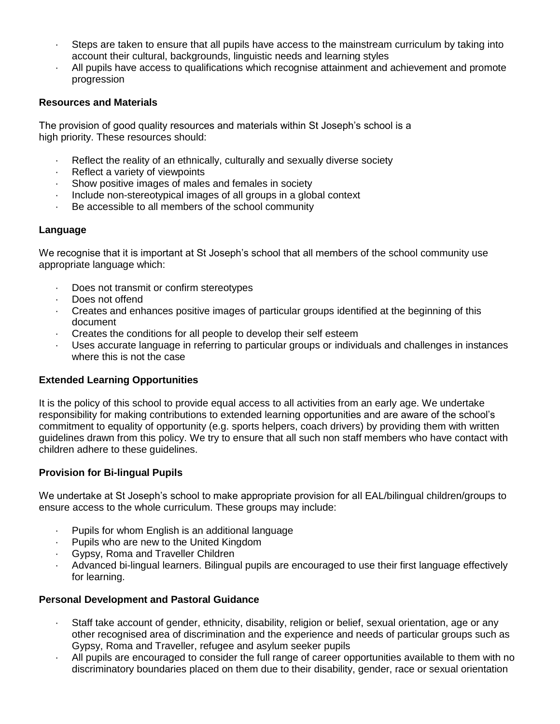- · Steps are taken to ensure that all pupils have access to the mainstream curriculum by taking into account their cultural, backgrounds, linguistic needs and learning styles
- · All pupils have access to qualifications which recognise attainment and achievement and promote progression

#### **Resources and Materials**

The provision of good quality resources and materials within St Joseph's school is a high priority. These resources should:

- · Reflect the reality of an ethnically, culturally and sexually diverse society
- Reflect a variety of viewpoints
- Show positive images of males and females in society
- Include non-stereotypical images of all groups in a global context
- · Be accessible to all members of the school community

#### **Language**

We recognise that it is important at St Joseph's school that all members of the school community use appropriate language which:

- Does not transmit or confirm stereotypes
- Does not offend
- · Creates and enhances positive images of particular groups identified at the beginning of this document
- · Creates the conditions for all people to develop their self esteem
- Uses accurate language in referring to particular groups or individuals and challenges in instances where this is not the case

#### **Extended Learning Opportunities**

It is the policy of this school to provide equal access to all activities from an early age. We undertake responsibility for making contributions to extended learning opportunities and are aware of the school's commitment to equality of opportunity (e.g. sports helpers, coach drivers) by providing them with written guidelines drawn from this policy. We try to ensure that all such non staff members who have contact with children adhere to these guidelines.

#### **Provision for Bi-lingual Pupils**

We undertake at St Joseph's school to make appropriate provision for all EAL/bilingual children/groups to ensure access to the whole curriculum. These groups may include:

- Pupils for whom English is an additional language
- Pupils who are new to the United Kingdom
- · Gypsy, Roma and Traveller Children
- · Advanced bi-lingual learners. Bilingual pupils are encouraged to use their first language effectively for learning.

#### **Personal Development and Pastoral Guidance**

- · Staff take account of gender, ethnicity, disability, religion or belief, sexual orientation, age or any other recognised area of discrimination and the experience and needs of particular groups such as Gypsy, Roma and Traveller, refugee and asylum seeker pupils
- · All pupils are encouraged to consider the full range of career opportunities available to them with no discriminatory boundaries placed on them due to their disability, gender, race or sexual orientation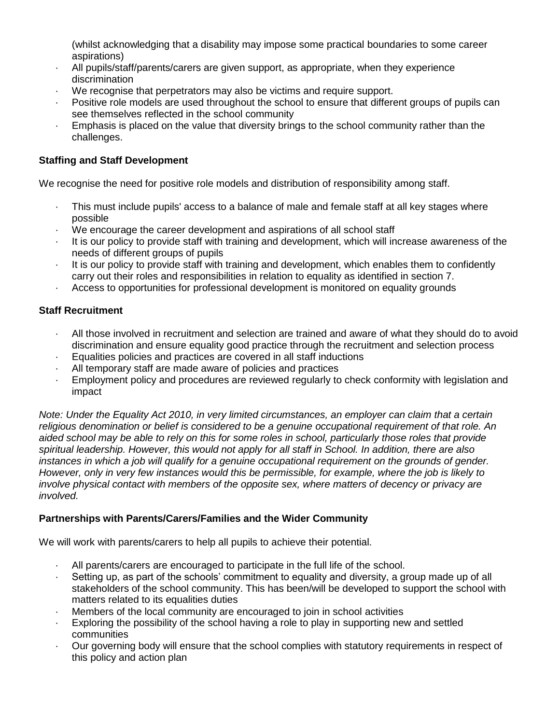(whilst acknowledging that a disability may impose some practical boundaries to some career aspirations)

- · All pupils/staff/parents/carers are given support, as appropriate, when they experience discrimination
- We recognise that perpetrators may also be victims and require support.
- Positive role models are used throughout the school to ensure that different groups of pupils can see themselves reflected in the school community
- Emphasis is placed on the value that diversity brings to the school community rather than the challenges.

## **Staffing and Staff Development**

We recognise the need for positive role models and distribution of responsibility among staff.

- · This must include pupils' access to a balance of male and female staff at all key stages where possible
- We encourage the career development and aspirations of all school staff
- It is our policy to provide staff with training and development, which will increase awareness of the needs of different groups of pupils
- · It is our policy to provide staff with training and development, which enables them to confidently carry out their roles and responsibilities in relation to equality as identified in section 7.
- · Access to opportunities for professional development is monitored on equality grounds

## **Staff Recruitment**

- · All those involved in recruitment and selection are trained and aware of what they should do to avoid discrimination and ensure equality good practice through the recruitment and selection process
- Equalities policies and practices are covered in all staff inductions
- All temporary staff are made aware of policies and practices
- Employment policy and procedures are reviewed regularly to check conformity with legislation and impact

*Note: Under the Equality Act 2010, in very limited circumstances, an employer can claim that a certain religious denomination or belief is considered to be a genuine occupational requirement of that role. An aided school may be able to rely on this for some roles in school, particularly those roles that provide spiritual leadership. However, this would not apply for all staff in School. In addition, there are also instances in which a job will qualify for a genuine occupational requirement on the grounds of gender. However, only in very few instances would this be permissible, for example, where the job is likely to involve physical contact with members of the opposite sex, where matters of decency or privacy are involved.*

# **Partnerships with Parents/Carers/Families and the Wider Community**

We will work with parents/carers to help all pupils to achieve their potential.

- · All parents/carers are encouraged to participate in the full life of the school.
- · Setting up, as part of the schools' commitment to equality and diversity, a group made up of all stakeholders of the school community. This has been/will be developed to support the school with matters related to its equalities duties
- Members of the local community are encouraged to join in school activities
- Exploring the possibility of the school having a role to play in supporting new and settled communities
- · Our governing body will ensure that the school complies with statutory requirements in respect of this policy and action plan